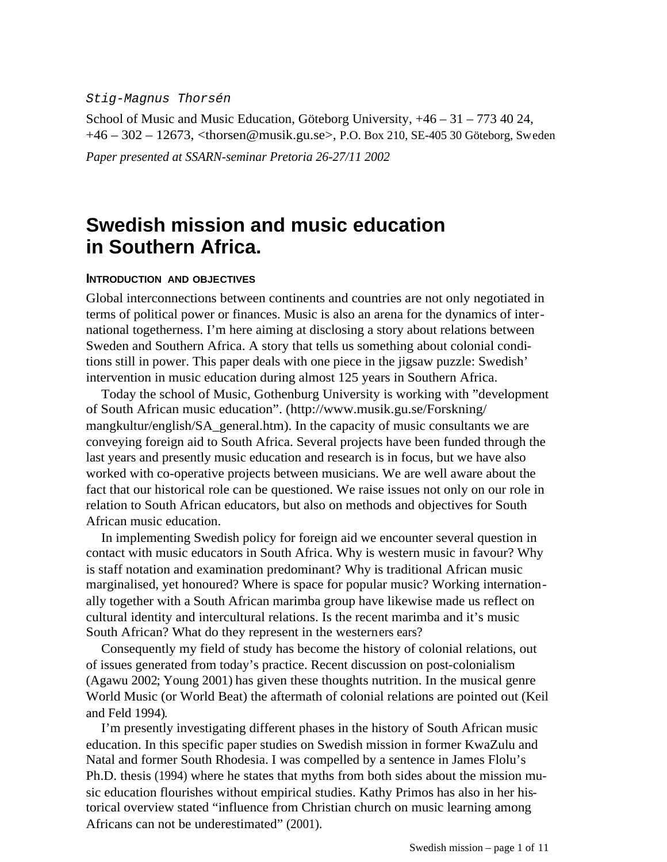#### Stig-Magnus Thorsén

School of Music and Music Education, Göteborg University, +46 – 31 – 773 40 24, +46 – 302 – 12673[, <thorsen@musik.gu.se>,](mailto:thorsen@musik.gu.se) P.O. Box 210, SE-405 30 Göteborg, Sweden *Paper presented at SSARN-seminar Pretoria 26-27/11 2002*

# **Swedish mission and music education in Southern Africa.**

## **INTRODUCTION AND OBJECTIVES**

Global interconnections between continents and countries are not only negotiated in terms of political power or finances. Music is also an arena for the dynamics of international togetherness. I'm here aiming at disclosing a story about relations between Sweden and Southern Africa. A story that tells us something about colonial conditions still in power. This paper deals with one piece in the jigsaw puzzle: Swedish' intervention in music education during almost 125 years in Southern Africa.

Today the school of Music, Gothenburg University is working with "development of South African music education". (http://www.musik.gu.se/Forskning/ mangkultur/english/SA\_general.htm). In the capacity of music consultants we are conveying foreign aid to South Africa. Several projects have been funded through the last years and presently music education and research is in focus, but we have also worked with co-operative projects between musicians. We are well aware about the fact that our historical role can be questioned. We raise issues not only on our role in relation to South African educators, but also on methods and objectives for South African music education.

In implementing Swedish policy for foreign aid we encounter several question in contact with music educators in South Africa. Why is western music in favour? Why is staff notation and examination predominant? Why is traditional African music marginalised, yet honoured? Where is space for popular music? Working internationally together with a South African marimba group have likewise made us reflect on cultural identity and intercultural relations. Is the recent marimba and it's music South African? What do they represent in the westerners ears?

Consequently my field of study has become the history of colonial relations, out of issues generated from today's practice. Recent discussion on post-colonialism (Agawu 2002; Young 2001) has given these thoughts nutrition. In the musical genre World Music (or World Beat) the aftermath of colonial relations are pointed out (Keil and Feld 1994).

I'm presently investigating different phases in the history of South African music education. In this specific paper studies on Swedish mission in former KwaZulu and Natal and former South Rhodesia. I was compelled by a sentence in James Flolu's Ph.D. thesis (1994) where he states that myths from both sides about the mission music education flourishes without empirical studies. Kathy Primos has also in her historical overview stated "influence from Christian church on music learning among Africans can not be underestimated" (2001).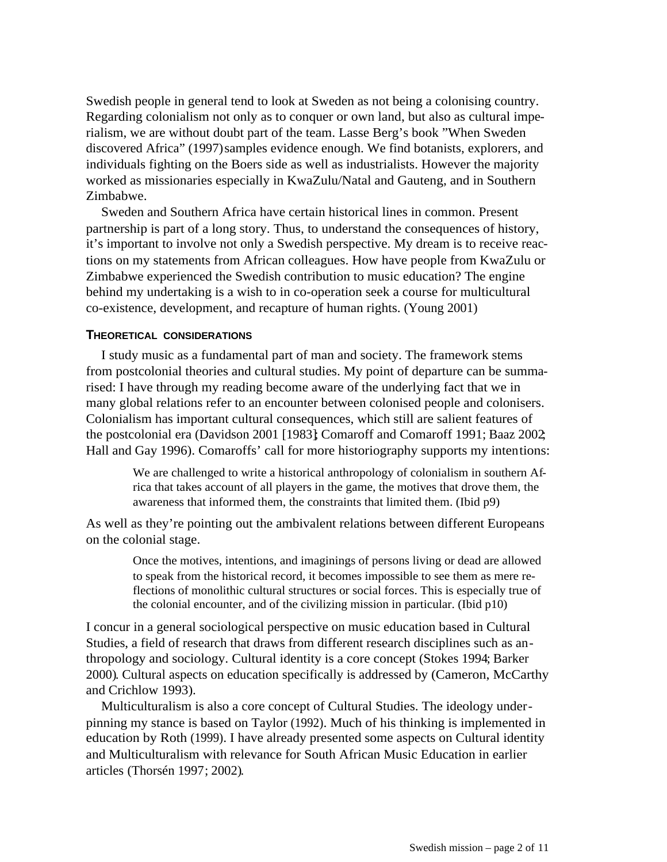Swedish people in general tend to look at Sweden as not being a colonising country. Regarding colonialism not only as to conquer or own land, but also as cultural imperialism, we are without doubt part of the team. Lasse Berg's book "When Sweden discovered Africa" (1997) samples evidence enough. We find botanists, explorers, and individuals fighting on the Boers side as well as industrialists. However the majority worked as missionaries especially in KwaZulu/Natal and Gauteng, and in Southern Zimbabwe.

Sweden and Southern Africa have certain historical lines in common. Present partnership is part of a long story. Thus, to understand the consequences of history, it's important to involve not only a Swedish perspective. My dream is to receive reactions on my statements from African colleagues. How have people from KwaZulu or Zimbabwe experienced the Swedish contribution to music education? The engine behind my undertaking is a wish to in co-operation seek a course for multicultural co-existence, development, and recapture of human rights. (Young 2001)

# **THEORETICAL CONSIDERATIONS**

I study music as a fundamental part of man and society. The framework stems from postcolonial theories and cultural studies. My point of departure can be summarised: I have through my reading become aware of the underlying fact that we in many global relations refer to an encounter between colonised people and colonisers. Colonialism has important cultural consequences, which still are salient features of the postcolonial era (Davidson 2001 [1983]; Comaroff and Comaroff 1991; Baaz 2002; Hall and Gay 1996). Comaroffs' call for more historiography supports my intentions:

We are challenged to write a historical anthropology of colonialism in southern Africa that takes account of all players in the game, the motives that drove them, the awareness that informed them, the constraints that limited them. (Ibid p9)

As well as they're pointing out the ambivalent relations between different Europeans on the colonial stage.

> Once the motives, intentions, and imaginings of persons living or dead are allowed to speak from the historical record, it becomes impossible to see them as mere reflections of monolithic cultural structures or social forces. This is especially true of the colonial encounter, and of the civilizing mission in particular. (Ibid p10)

I concur in a general sociological perspective on music education based in Cultural Studies, a field of research that draws from different research disciplines such as anthropology and sociology. Cultural identity is a core concept (Stokes 1994; Barker 2000). Cultural aspects on education specifically is addressed by (Cameron, McCarthy and Crichlow 1993).

Multiculturalism is also a core concept of Cultural Studies. The ideology underpinning my stance is based on Taylor (1992). Much of his thinking is implemented in education by Roth (1999). I have already presented some aspects on Cultural identity and Multiculturalism with relevance for South African Music Education in earlier articles (Thorsén 1997; 2002).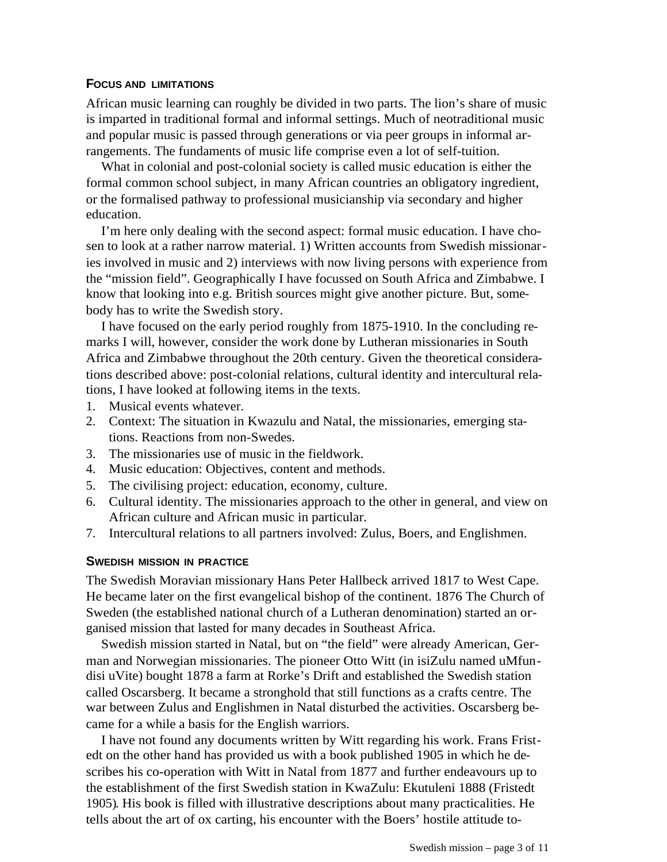## **FOCUS AND LIMITATIONS**

African music learning can roughly be divided in two parts. The lion's share of music is imparted in traditional formal and informal settings. Much of neotraditional music and popular music is passed through generations or via peer groups in informal arrangements. The fundaments of music life comprise even a lot of self-tuition.

What in colonial and post-colonial society is called music education is either the formal common school subject, in many African countries an obligatory ingredient, or the formalised pathway to professional musicianship via secondary and higher education.

I'm here only dealing with the second aspect: formal music education. I have chosen to look at a rather narrow material. 1) Written accounts from Swedish missionaries involved in music and 2) interviews with now living persons with experience from the "mission field". Geographically I have focussed on South Africa and Zimbabwe. I know that looking into e.g. British sources might give another picture. But, somebody has to write the Swedish story.

I have focused on the early period roughly from 1875-1910. In the concluding remarks I will, however, consider the work done by Lutheran missionaries in South Africa and Zimbabwe throughout the 20th century. Given the theoretical considerations described above: post-colonial relations, cultural identity and intercultural relations, I have looked at following items in the texts.

- 1. Musical events whatever.
- 2. Context: The situation in Kwazulu and Natal, the missionaries, emerging stations. Reactions from non-Swedes.
- 3. The missionaries use of music in the fieldwork.
- 4. Music education: Objectives, content and methods.
- 5. The civilising project: education, economy, culture.
- 6. Cultural identity. The missionaries approach to the other in general, and view on African culture and African music in particular.
- 7. Intercultural relations to all partners involved: Zulus, Boers, and Englishmen.

## **SWEDISH MISSION IN PRACTICE**

The Swedish Moravian missionary Hans Peter Hallbeck arrived 1817 to West Cape. He became later on the first evangelical bishop of the continent. 1876 The Church of Sweden (the established national church of a Lutheran denomination) started an organised mission that lasted for many decades in Southeast Africa.

Swedish mission started in Natal, but on "the field" were already American, German and Norwegian missionaries. The pioneer Otto Witt (in isiZulu named uMfundisi uVite) bought 1878 a farm at Rorke's Drift and established the Swedish station called Oscarsberg. It became a stronghold that still functions as a crafts centre. The war between Zulus and Englishmen in Natal disturbed the activities. Oscarsberg became for a while a basis for the English warriors.

I have not found any documents written by Witt regarding his work. Frans Fristedt on the other hand has provided us with a book published 1905 in which he describes his co-operation with Witt in Natal from 1877 and further endeavours up to the establishment of the first Swedish station in KwaZulu: Ekutuleni 1888 (Fristedt 1905). His book is filled with illustrative descriptions about many practicalities. He tells about the art of ox carting, his encounter with the Boers' hostile attitude to-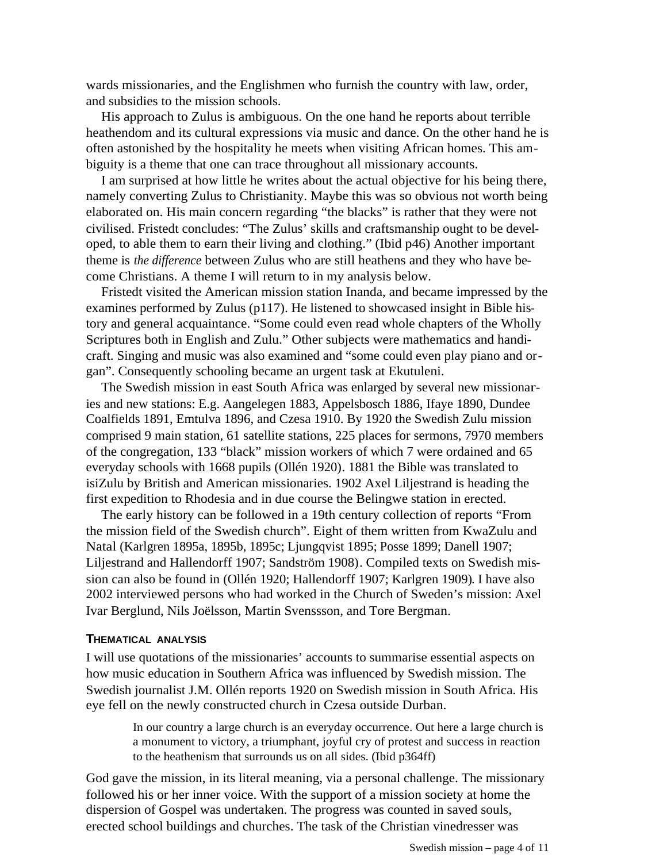wards missionaries, and the Englishmen who furnish the country with law, order, and subsidies to the mission schools.

His approach to Zulus is ambiguous. On the one hand he reports about terrible heathendom and its cultural expressions via music and dance. On the other hand he is often astonished by the hospitality he meets when visiting African homes. This ambiguity is a theme that one can trace throughout all missionary accounts.

I am surprised at how little he writes about the actual objective for his being there, namely converting Zulus to Christianity. Maybe this was so obvious not worth being elaborated on. His main concern regarding "the blacks" is rather that they were not civilised. Fristedt concludes: "The Zulus' skills and craftsmanship ought to be developed, to able them to earn their living and clothing." (Ibid p46) Another important theme is *the difference* between Zulus who are still heathens and they who have become Christians. A theme I will return to in my analysis below.

Fristedt visited the American mission station Inanda, and became impressed by the examines performed by Zulus (p117). He listened to showcased insight in Bible history and general acquaintance. "Some could even read whole chapters of the Wholly Scriptures both in English and Zulu." Other subjects were mathematics and handicraft. Singing and music was also examined and "some could even play piano and organ". Consequently schooling became an urgent task at Ekutuleni.

The Swedish mission in east South Africa was enlarged by several new missionaries and new stations: E.g. Aangelegen 1883, Appelsbosch 1886, Ifaye 1890, Dundee Coalfields 1891, Emtulva 1896, and Czesa 1910. By 1920 the Swedish Zulu mission comprised 9 main station, 61 satellite stations, 225 places for sermons, 7970 members of the congregation, 133 "black" mission workers of which 7 were ordained and 65 everyday schools with 1668 pupils (Ollén 1920). 1881 the Bible was translated to isiZulu by British and American missionaries. 1902 Axel Liljestrand is heading the first expedition to Rhodesia and in due course the Belingwe station in erected.

The early history can be followed in a 19th century collection of reports "From the mission field of the Swedish church". Eight of them written from KwaZulu and Natal (Karlgren 1895a, 1895b, 1895c; Ljungqvist 1895; Posse 1899; Danell 1907; Liljestrand and Hallendorff 1907; Sandström 1908). Compiled texts on Swedish mission can also be found in (Ollén 1920; Hallendorff 1907; Karlgren 1909). I have also 2002 interviewed persons who had worked in the Church of Sweden's mission: Axel Ivar Berglund, Nils Joëlsson, Martin Svenssson, and Tore Bergman.

#### **THEMATICAL ANALYSIS**

I will use quotations of the missionaries' accounts to summarise essential aspects on how music education in Southern Africa was influenced by Swedish mission. The Swedish journalist J.M. Ollén reports 1920 on Swedish mission in South Africa. His eye fell on the newly constructed church in Czesa outside Durban.

> In our country a large church is an everyday occurrence. Out here a large church is a monument to victory, a triumphant, joyful cry of protest and success in reaction to the heathenism that surrounds us on all sides. (Ibid p364ff)

God gave the mission, in its literal meaning, via a personal challenge. The missionary followed his or her inner voice. With the support of a mission society at home the dispersion of Gospel was undertaken. The progress was counted in saved souls, erected school buildings and churches. The task of the Christian vinedresser was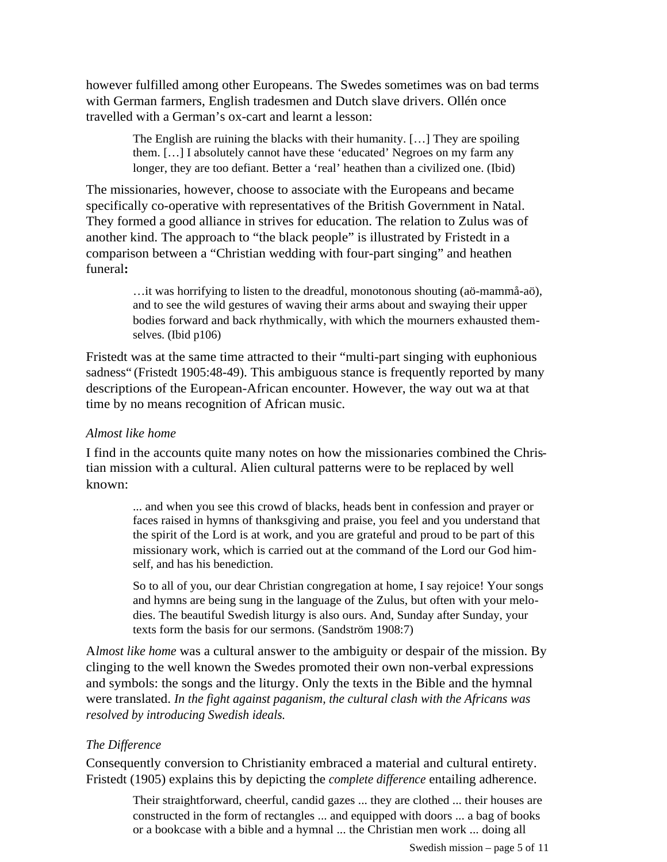however fulfilled among other Europeans. The Swedes sometimes was on bad terms with German farmers, English tradesmen and Dutch slave drivers. Ollén once travelled with a German's ox-cart and learnt a lesson:

> The English are ruining the blacks with their humanity. […] They are spoiling them. […] I absolutely cannot have these 'educated' Negroes on my farm any longer, they are too defiant. Better a 'real' heathen than a civilized one. (Ibid)

The missionaries, however, choose to associate with the Europeans and became specifically co-operative with representatives of the British Government in Natal. They formed a good alliance in strives for education. The relation to Zulus was of another kind. The approach to "the black people" is illustrated by Fristedt in a comparison between a "Christian wedding with four-part singing" and heathen funeral**:**

> …it was horrifying to listen to the dreadful, monotonous shouting (aö-mammå-aö), and to see the wild gestures of waving their arms about and swaying their upper bodies forward and back rhythmically, with which the mourners exhausted themselves. (Ibid p106)

Fristedt was at the same time attracted to their "multi-part singing with euphonious sadness" (Fristedt 1905:48-49). This ambiguous stance is frequently reported by many descriptions of the European-African encounter. However, the way out wa at that time by no means recognition of African music.

# *Almost like home*

I find in the accounts quite many notes on how the missionaries combined the Christian mission with a cultural. Alien cultural patterns were to be replaced by well known:

> ... and when you see this crowd of blacks, heads bent in confession and prayer or faces raised in hymns of thanksgiving and praise, you feel and you understand that the spirit of the Lord is at work, and you are grateful and proud to be part of this missionary work, which is carried out at the command of the Lord our God himself, and has his benediction.

> So to all of you, our dear Christian congregation at home, I say rejoice! Your songs and hymns are being sung in the language of the Zulus, but often with your melodies. The beautiful Swedish liturgy is also ours. And, Sunday after Sunday, your texts form the basis for our sermons. (Sandström 1908:7)

A*lmost like home* was a cultural answer to the ambiguity or despair of the mission. By clinging to the well known the Swedes promoted their own non-verbal expressions and symbols: the songs and the liturgy. Only the texts in the Bible and the hymnal were translated. *In the fight against paganism, the cultural clash with the Africans was resolved by introducing Swedish ideals.*

# *The Difference*

Consequently conversion to Christianity embraced a material and cultural entirety. Fristedt (1905) explains this by depicting the *complete difference* entailing adherence.

Their straightforward, cheerful, candid gazes ... they are clothed ... their houses are constructed in the form of rectangles ... and equipped with doors ... a bag of books or a bookcase with a bible and a hymnal ... the Christian men work ... doing all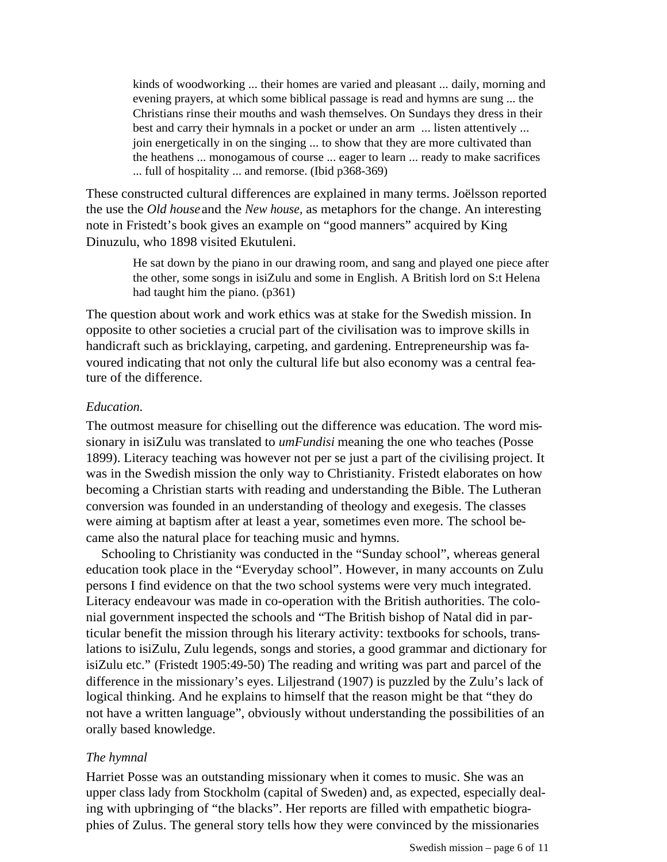kinds of woodworking ... their homes are varied and pleasant ... daily, morning and evening prayers, at which some biblical passage is read and hymns are sung ... the Christians rinse their mouths and wash themselves. On Sundays they dress in their best and carry their hymnals in a pocket or under an arm ... listen attentively ... join energetically in on the singing ... to show that they are more cultivated than the heathens ... monogamous of course ... eager to learn ... ready to make sacrifices ... full of hospitality ... and remorse. (Ibid p368-369)

These constructed cultural differences are explained in many terms. Joëlsson reported the use the *Old house* and the *New house,* as metaphors for the change. An interesting note in Fristedt's book gives an example on "good manners" acquired by King Dinuzulu, who 1898 visited Ekutuleni.

> He sat down by the piano in our drawing room, and sang and played one piece after the other, some songs in isiZulu and some in English. A British lord on S:t Helena had taught him the piano. (p361)

The question about work and work ethics was at stake for the Swedish mission. In opposite to other societies a crucial part of the civilisation was to improve skills in handicraft such as bricklaying, carpeting, and gardening. Entrepreneurship was favoured indicating that not only the cultural life but also economy was a central feature of the difference.

## *Education.*

The outmost measure for chiselling out the difference was education. The word missionary in isiZulu was translated to *umFundisi* meaning the one who teaches (Posse 1899). Literacy teaching was however not per se just a part of the civilising project. It was in the Swedish mission the only way to Christianity. Fristedt elaborates on how becoming a Christian starts with reading and understanding the Bible. The Lutheran conversion was founded in an understanding of theology and exegesis. The classes were aiming at baptism after at least a year, sometimes even more. The school became also the natural place for teaching music and hymns.

Schooling to Christianity was conducted in the "Sunday school", whereas general education took place in the "Everyday school". However, in many accounts on Zulu persons I find evidence on that the two school systems were very much integrated. Literacy endeavour was made in co-operation with the British authorities. The colonial government inspected the schools and "The British bishop of Natal did in particular benefit the mission through his literary activity: textbooks for schools, translations to isiZulu, Zulu legends, songs and stories, a good grammar and dictionary for isiZulu etc." (Fristedt 1905:49-50) The reading and writing was part and parcel of the difference in the missionary's eyes. Liljestrand (1907) is puzzled by the Zulu's lack of logical thinking. And he explains to himself that the reason might be that "they do not have a written language", obviously without understanding the possibilities of an orally based knowledge.

# *The hymnal*

Harriet Posse was an outstanding missionary when it comes to music. She was an upper class lady from Stockholm (capital of Sweden) and, as expected, especially dealing with upbringing of "the blacks". Her reports are filled with empathetic biographies of Zulus. The general story tells how they were convinced by the missionaries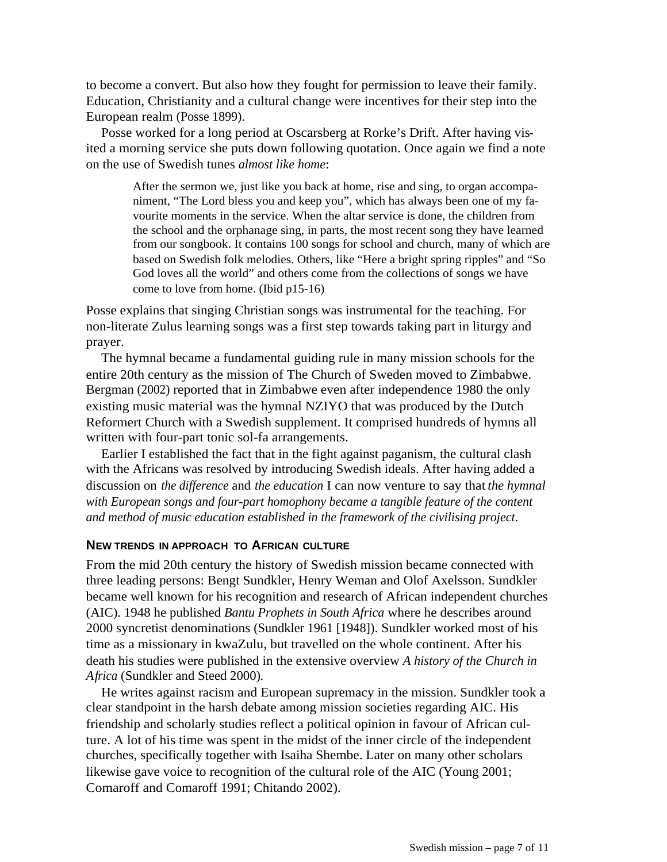to become a convert. But also how they fought for permission to leave their family. Education, Christianity and a cultural change were incentives for their step into the European realm (Posse 1899).

Posse worked for a long period at Oscarsberg at Rorke's Drift. After having visited a morning service she puts down following quotation. Once again we find a note on the use of Swedish tunes *almost like home*:

> After the sermon we, just like you back at home, rise and sing, to organ accompaniment, "The Lord bless you and keep you", which has always been one of my favourite moments in the service. When the altar service is done, the children from the school and the orphanage sing, in parts, the most recent song they have learned from our songbook. It contains 100 songs for school and church, many of which are based on Swedish folk melodies. Others, like "Here a bright spring ripples" and "So God loves all the world" and others come from the collections of songs we have come to love from home. (Ibid p15-16)

Posse explains that singing Christian songs was instrumental for the teaching. For non-literate Zulus learning songs was a first step towards taking part in liturgy and prayer.

The hymnal became a fundamental guiding rule in many mission schools for the entire 20th century as the mission of The Church of Sweden moved to Zimbabwe. Bergman (2002) reported that in Zimbabwe even after independence 1980 the only existing music material was the hymnal NZIYO that was produced by the Dutch Reformert Church with a Swedish supplement. It comprised hundreds of hymns all written with four-part tonic sol-fa arrangements.

Earlier I established the fact that in the fight against paganism, the cultural clash with the Africans was resolved by introducing Swedish ideals. After having added a discussion on *the difference* and *the education* I can now venture to say that *the hymnal with European songs and four-part homophony became a tangible feature of the content and method of music education established in the framework of the civilising project*.

#### **NEW TRENDS IN APPROACH TO AFRICAN CULTURE**

From the mid 20th century the history of Swedish mission became connected with three leading persons: Bengt Sundkler, Henry Weman and Olof Axelsson. Sundkler became well known for his recognition and research of African independent churches (AIC). 1948 he published *Bantu Prophets in South Africa* where he describes around 2000 syncretist denominations (Sundkler 1961 [1948]). Sundkler worked most of his time as a missionary in kwaZulu, but travelled on the whole continent. After his death his studies were published in the extensive overview *A history of the Church in Africa* (Sundkler and Steed 2000).

He writes against racism and European supremacy in the mission. Sundkler took a clear standpoint in the harsh debate among mission societies regarding AIC. His friendship and scholarly studies reflect a political opinion in favour of African culture. A lot of his time was spent in the midst of the inner circle of the independent churches, specifically together with Isaiha Shembe. Later on many other scholars likewise gave voice to recognition of the cultural role of the AIC (Young 2001; Comaroff and Comaroff 1991; Chitando 2002).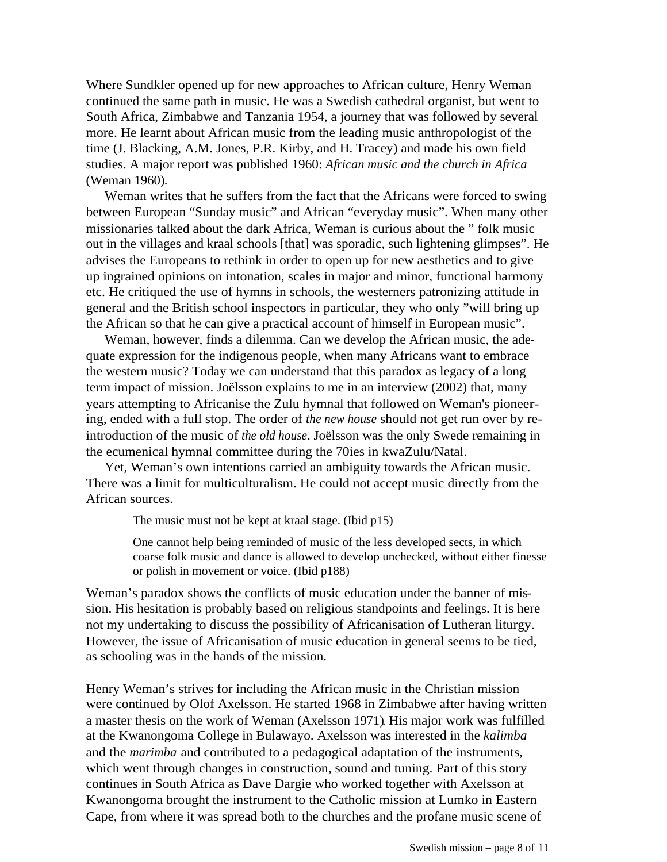Where Sundkler opened up for new approaches to African culture, Henry Weman continued the same path in music. He was a Swedish cathedral organist, but went to South Africa, Zimbabwe and Tanzania 1954, a journey that was followed by several more. He learnt about African music from the leading music anthropologist of the time (J. Blacking, A.M. Jones, P.R. Kirby, and H. Tracey) and made his own field studies. A major report was published 1960: *African music and the church in Africa* (Weman 1960).

Weman writes that he suffers from the fact that the Africans were forced to swing between European "Sunday music" and African "everyday music". When many other missionaries talked about the dark Africa, Weman is curious about the " folk music out in the villages and kraal schools [that] was sporadic, such lightening glimpses". He advises the Europeans to rethink in order to open up for new aesthetics and to give up ingrained opinions on intonation, scales in major and minor, functional harmony etc. He critiqued the use of hymns in schools, the westerners patronizing attitude in general and the British school inspectors in particular, they who only "will bring up the African so that he can give a practical account of himself in European music".

Weman, however, finds a dilemma. Can we develop the African music, the adequate expression for the indigenous people, when many Africans want to embrace the western music? Today we can understand that this paradox as legacy of a long term impact of mission. Joëlsson explains to me in an interview (2002) that, many years attempting to Africanise the Zulu hymnal that followed on Weman's pioneering, ended with a full stop. The order of *the new house* should not get run over by reintroduction of the music of *the old house*. Joëlsson was the only Swede remaining in the ecumenical hymnal committee during the 70ies in kwaZulu/Natal.

Yet, Weman's own intentions carried an ambiguity towards the African music. There was a limit for multiculturalism. He could not accept music directly from the African sources.

The music must not be kept at kraal stage. (Ibid p15)

One cannot help being reminded of music of the less developed sects, in which coarse folk music and dance is allowed to develop unchecked, without either finesse or polish in movement or voice. (Ibid p188)

Weman's paradox shows the conflicts of music education under the banner of mission. His hesitation is probably based on religious standpoints and feelings. It is here not my undertaking to discuss the possibility of Africanisation of Lutheran liturgy. However, the issue of Africanisation of music education in general seems to be tied, as schooling was in the hands of the mission.

Henry Weman's strives for including the African music in the Christian mission were continued by Olof Axelsson. He started 1968 in Zimbabwe after having written a master thesis on the work of Weman (Axelsson 1971). His major work was fulfilled at the Kwanongoma College in Bulawayo. Axelsson was interested in the *kalimba* and the *marimba* and contributed to a pedagogical adaptation of the instruments, which went through changes in construction, sound and tuning. Part of this story continues in South Africa as Dave Dargie who worked together with Axelsson at Kwanongoma brought the instrument to the Catholic mission at Lumko in Eastern Cape, from where it was spread both to the churches and the profane music scene of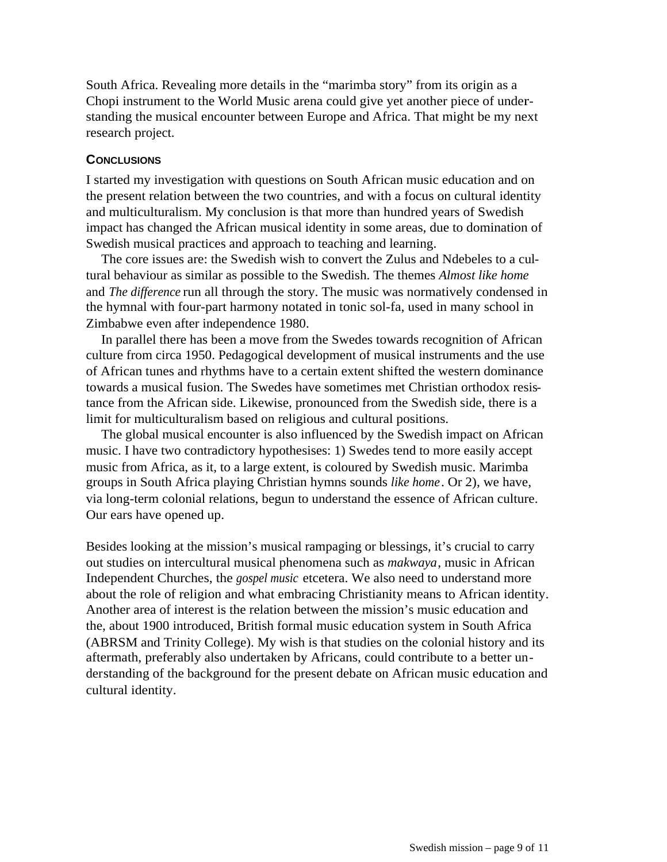South Africa. Revealing more details in the "marimba story" from its origin as a Chopi instrument to the World Music arena could give yet another piece of understanding the musical encounter between Europe and Africa. That might be my next research project.

# **CONCLUSIONS**

I started my investigation with questions on South African music education and on the present relation between the two countries, and with a focus on cultural identity and multiculturalism. My conclusion is that more than hundred years of Swedish impact has changed the African musical identity in some areas, due to domination of Swedish musical practices and approach to teaching and learning.

The core issues are: the Swedish wish to convert the Zulus and Ndebeles to a cultural behaviour as similar as possible to the Swedish. The themes *Almost like home* and *The difference* run all through the story. The music was normatively condensed in the hymnal with four-part harmony notated in tonic sol-fa, used in many school in Zimbabwe even after independence 1980.

In parallel there has been a move from the Swedes towards recognition of African culture from circa 1950. Pedagogical development of musical instruments and the use of African tunes and rhythms have to a certain extent shifted the western dominance towards a musical fusion. The Swedes have sometimes met Christian orthodox resistance from the African side. Likewise, pronounced from the Swedish side, there is a limit for multiculturalism based on religious and cultural positions.

The global musical encounter is also influenced by the Swedish impact on African music. I have two contradictory hypothesises: 1) Swedes tend to more easily accept music from Africa, as it, to a large extent, is coloured by Swedish music. Marimba groups in South Africa playing Christian hymns sounds *like home*. Or 2), we have, via long-term colonial relations, begun to understand the essence of African culture. Our ears have opened up.

Besides looking at the mission's musical rampaging or blessings, it's crucial to carry out studies on intercultural musical phenomena such as *makwaya*, music in African Independent Churches, the *gospel music* etcetera. We also need to understand more about the role of religion and what embracing Christianity means to African identity. Another area of interest is the relation between the mission's music education and the, about 1900 introduced, British formal music education system in South Africa (ABRSM and Trinity College). My wish is that studies on the colonial history and its aftermath, preferably also undertaken by Africans, could contribute to a better understanding of the background for the present debate on African music education and cultural identity.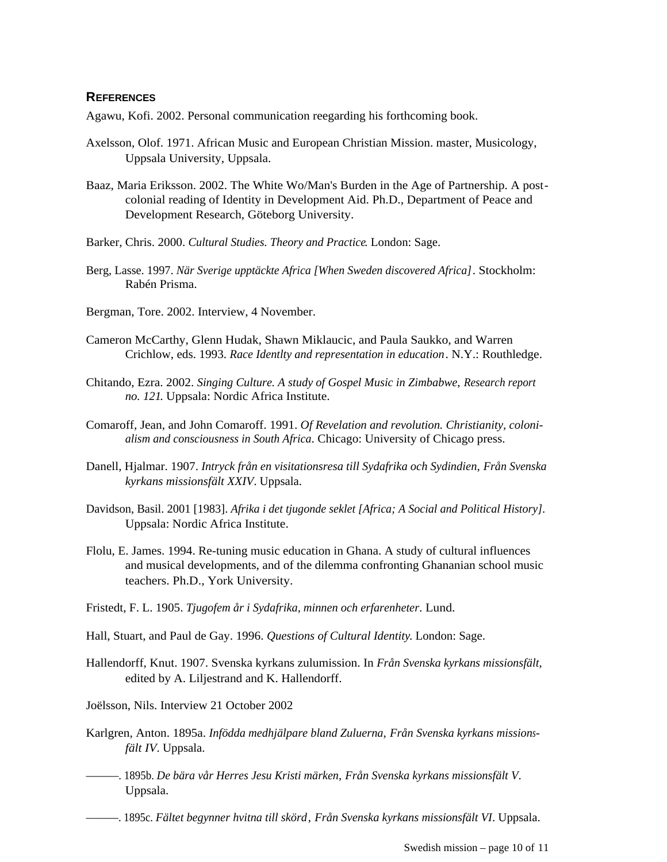#### **REFERENCES**

Agawu, Kofi. 2002. Personal communication reegarding his forthcoming book.

- Axelsson, Olof. 1971. African Music and European Christian Mission. master, Musicology, Uppsala University, Uppsala.
- Baaz, Maria Eriksson. 2002. The White Wo/Man's Burden in the Age of Partnership. A postcolonial reading of Identity in Development Aid. Ph.D., Department of Peace and Development Research, Göteborg University.
- Barker, Chris. 2000. *Cultural Studies. Theory and Practice*. London: Sage.
- Berg, Lasse. 1997. *När Sverige upptäckte Africa [When Sweden discovered Africa]*. Stockholm: Rabén Prisma.
- Bergman, Tore. 2002. Interview, 4 November.
- Cameron McCarthy, Glenn Hudak, Shawn Miklaucic, and Paula Saukko, and Warren Crichlow, eds. 1993. *Race Identlty and representation in education*. N.Y.: Routhledge.
- Chitando, Ezra. 2002. *Singing Culture. A study of Gospel Music in Zimbabwe*, *Research report no. 121*. Uppsala: Nordic Africa Institute.
- Comaroff, Jean, and John Comaroff. 1991. *Of Revelation and revolution. Christianity, colonialism and consciousness in South Africa*. Chicago: University of Chicago press.
- Danell, Hjalmar. 1907. *Intryck från en visitationsresa till Sydafrika och Sydindien*, *Från Svenska kyrkans missionsfält XXIV*. Uppsala.
- Davidson, Basil. 2001 [1983]. *Afrika i det tjugonde seklet [Africa; A Social and Political History]*. Uppsala: Nordic Africa Institute.
- Flolu, E. James. 1994. Re-tuning music education in Ghana. A study of cultural influences and musical developments, and of the dilemma confronting Ghananian school music teachers. Ph.D., York University.
- Fristedt, F. L. 1905. *Tjugofem år i Sydafrika, minnen och erfarenheter*. Lund.
- Hall, Stuart, and Paul de Gay. 1996. *Questions of Cultural Identity*. London: Sage.
- Hallendorff, Knut. 1907. Svenska kyrkans zulumission. In *Från Svenska kyrkans missionsfält*, edited by A. Liljestrand and K. Hallendorff.

Joëlsson, Nils. Interview 21 October 2002

- Karlgren, Anton. 1895a. *Infödda medhjälpare bland Zuluerna*, *Från Svenska kyrkans missionsfält IV*. Uppsala.
- ———. 1895b. *De bära vår Herres Jesu Kristi märken*, *Från Svenska kyrkans missionsfält V*. Uppsala.
- ———. 1895c. *Fältet begynner hvitna till skörd*, *Från Svenska kyrkans missionsfält VI*. Uppsala.